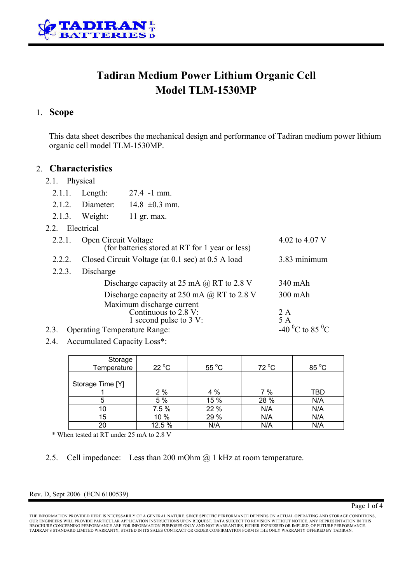

# **Tadiran Medium Power Lithium Organic Cell Model TLM-1530MP**

## 1. **Scope**

This data sheet describes the mechanical design and performance of Tadiran medium power lithium organic cell model TLM-1530MP.

### 2. **Characteristics**

- 2.1. Physical
	- 2.1.1. Length: 27.4 -1 mm.
	- 2.1.2. Diameter:  $14.8 \pm 0.3$  mm.
	- 2.1.3. Weight: 11 gr. max.
- 2.2. Electrical

| $\sim$ . $\sim$ . | - Lietus Ital                                                               |                                         |
|-------------------|-----------------------------------------------------------------------------|-----------------------------------------|
| 2.2.1.            | Open Circuit Voltage<br>(for batteries stored at RT for 1 year or less)     | 4.02 to 4.07 V                          |
| 2.2.2.            | Closed Circuit Voltage (at 0.1 sec) at 0.5 A load                           | 3.83 minimum                            |
| 2.2.3.            | Discharge                                                                   |                                         |
|                   | Discharge capacity at 25 mA $\omega$ RT to 2.8 V                            | 340 mAh                                 |
|                   | Discharge capacity at 250 mA $\omega$ RT to 2.8 V                           | $300$ mAh                               |
|                   | Maximum discharge current<br>Continuous to 2.8 V:<br>1 second pulse to 3 V: | 2 A<br>5A                               |
| 2.3.              | <b>Operating Temperature Range:</b>                                         | -40 <sup>o</sup> C to 85 <sup>o</sup> C |
|                   |                                                                             |                                         |

2.4. Accumulated Capacity Loss\*:

| Storage<br>Temperature | $22^{\circ}$ C | $55^{\circ}$ C | $72^{\circ}$ C | 85 °C |
|------------------------|----------------|----------------|----------------|-------|
|                        |                |                |                |       |
| Storage Time [Y]       |                |                |                |       |
|                        | 2%             | 4 %            | 7%             | TBD   |
| 5                      | 5 %            | 15 %           | 28 %           | N/A   |
| 10                     | 7.5 %          | 22 %           | N/A            | N/A   |
| 15                     | 10 %           | 29 %           | N/A            | N/A   |
| 20                     | 12.5 %         | N/A            | N/A            | N/A   |

\* When tested at RT under 25 mA to 2.8 V

2.5. Cell impedance: Less than 200 mOhm @ 1 kHz at room temperature.

### Rev. D, Sept 2006 (ECN 6100539)

THE INFORMATION PROVIDED HERE IS NECESSARILY OF A GENERAL NATURE. SINCE SPECIFIC PERFORMANCE DEPENDS ON ACTUAL OPERATING AND STORAGE CONDITIONS,<br>OUR ENGINEERS WILL PROVIDE PARTICULAR APPLICATION INSTRUCTIONS UPON REQUEST. BROCHURE CONCERNING PERFORMANCE ARE FOR INFORMATION PURPOSES ONLY AND NOT WARRANTIES, EITHER EXPRESSED OR IMPLIED, OF FUTURE PERFORMANCE.<br>TADIRAN'S STANDARD LIMITED WARRANTY, STATED IN ITS SALES CONTRACT OR ORDER CONFIRMAT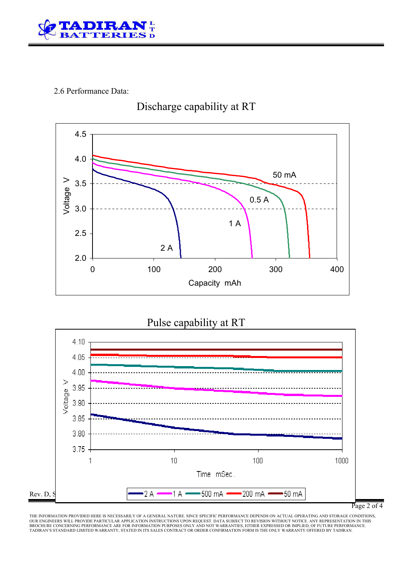

## 2.6 Performance Data:



# Discharge capability at RT

## Pulse capability at RT



Page 2 of 4

THE INFORMATION PROVIDED HERE IS NECESSARILY OF A GENERAL NATURE. SINCE SPECIFIC PERFORMANCE DEPENDS ON ACTUAL OPERATING AND STORAGE CONDITIONS,<br>OUR ENGINEERS WILL PROVIDE PARTICULAR APPLICATION INSTRUCTIONS UPON REQUEST.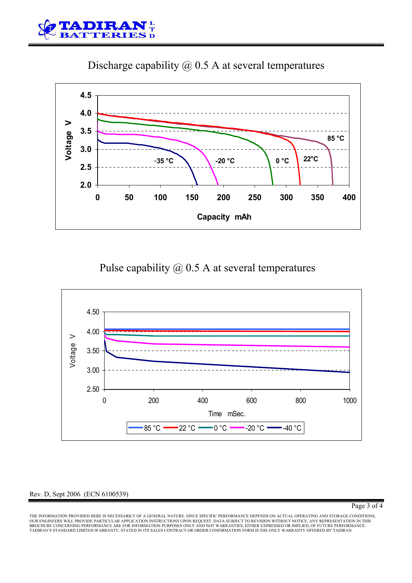

Discharge capability @ 0.5 A at several temperatures



# Pulse capability @ 0.5 A at several temperatures



### Rev. D, Sept 2006 (ECN 6100539)

Page 3 of 4

THE INFORMATION PROVIDED HERE IS NECESSARILY OF A GENERAL NATURE. SINCE SPECIFIC PERFORMANCE DEPENDS ON ACTUAL OPERATING AND STORAGE CONDITIONS,<br>OUR ENGINEERS WILL PROVIDE PARTICULAR APPLICATION INSTRUCTIONS UPON REQUEST. BROCHURE CONCERNING PERFORMANCE ARE FOR INFORMATION PURPOSES ONLY AND NOT WARRANTIES, EITHER EXPRESSED OR IMPLIED, OF FUTURE PERFORMANCE.<br>TADIRAN'S STANDARD LIMITED WARRANTY, STATED IN ITS SALES CONTRACT OR ORDER CONFIRMAT